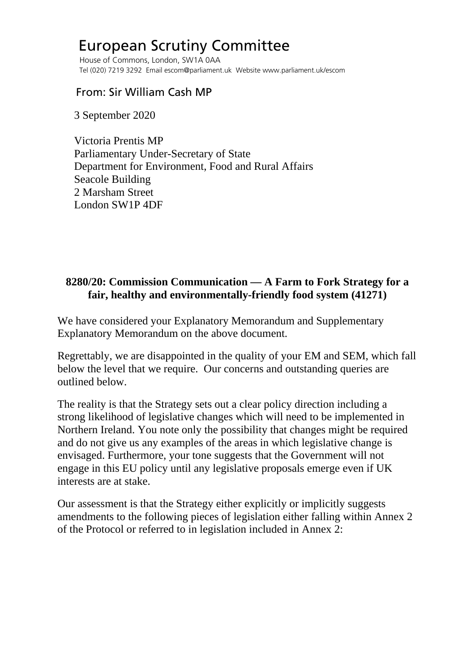## European Scrutiny Committee

 House of Commons, London, SW1A 0AA Tel (020) 7219 3292 Email escom@parliament.uk Website www.parliament.uk/escom

## From: Sir William Cash MP

3 September 2020

 Victoria Prentis MP Parliamentary Under-Secretary of State Department for Environment, Food and Rural Affairs Seacole Building 2 Marsham Street London SW1P 4DF

## **8280/20: Commission Communication — A Farm to Fork Strategy for a fair, healthy and environmentally-friendly food system (41271)**

We have considered your Explanatory Memorandum and Supplementary Explanatory Memorandum on the above document.

Regrettably, we are disappointed in the quality of your EM and SEM, which fall below the level that we require. Our concerns and outstanding queries are outlined below.

The reality is that the Strategy sets out a clear policy direction including a strong likelihood of legislative changes which will need to be implemented in Northern Ireland. You note only the possibility that changes might be required and do not give us any examples of the areas in which legislative change is envisaged. Furthermore, your tone suggests that the Government will not engage in this EU policy until any legislative proposals emerge even if UK interests are at stake.

Our assessment is that the Strategy either explicitly or implicitly suggests amendments to the following pieces of legislation either falling within Annex 2 of the Protocol or referred to in legislation included in Annex 2: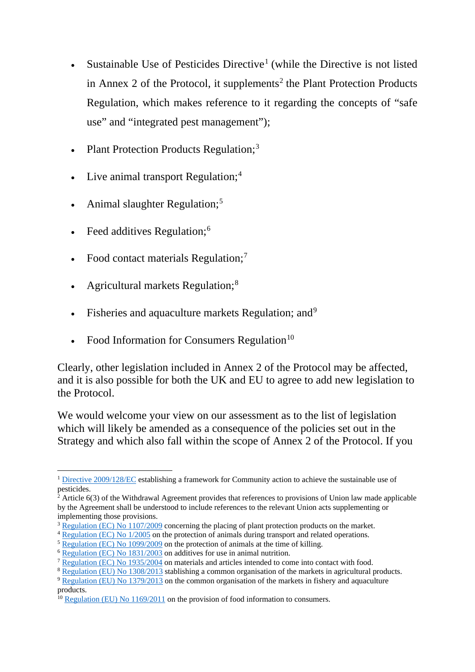- Sustainable Use of Pesticides Directive<sup>[1](#page-1-0)</sup> (while the Directive is not listed in Annex [2](#page-1-1) of the Protocol, it supplements<sup>2</sup> the Plant Protection Products Regulation, which makes reference to it regarding the concepts of "safe use" and "integrated pest management");
- Plant Protection Products Regulation;<sup>[3](#page-1-2)</sup>
- Live animal transport Regulation;<sup>[4](#page-1-3)</sup>
- Animal slaughter Regulation;<sup>[5](#page-1-4)</sup>
- Feed additives Regulation;<sup>[6](#page-1-5)</sup>
- Food contact materials Regulation;<sup>[7](#page-1-6)</sup>
- Agricultural markets Regulation;<sup>[8](#page-1-7)</sup>
- Fisheries and aquaculture markets Regulation; and<sup>[9](#page-1-8)</sup>
- Food Information for Consumers Regulation $10$

Clearly, other legislation included in Annex 2 of the Protocol may be affected, and it is also possible for both the UK and EU to agree to add new legislation to the Protocol.

We would welcome your view on our assessment as to the list of legislation which will likely be amended as a consequence of the policies set out in the Strategy and which also fall within the scope of Annex 2 of the Protocol. If you

<span id="page-1-0"></span><sup>1</sup> [Directive 2009/128/EC](https://eur-lex.europa.eu/legal-content/EN/ALL/?uri=CELEX:02009L0128-20091125) establishing a framework for Community action to achieve the sustainable use of  $\frac{2\pi r c}{2}$ 

<span id="page-1-1"></span> $^2$  Article 6(3) of the Withdrawal Agreement provides that references to provisions of Union law made applicable by the Agreement shall be understood to include references to the relevant Union acts supplementing or implementing those provisions.

<span id="page-1-2"></span><sup>&</sup>lt;sup>3</sup> [Regulation \(EC\) No 1107/2009](https://eur-lex.europa.eu/legal-content/EN/TXT/?uri=CELEX:02009R1107-20191214) concerning the placing of plant protection products on the market.

<span id="page-1-3"></span><sup>&</sup>lt;sup>4</sup> [Regulation \(EC\) No 1/2005](https://eur-lex.europa.eu/legal-content/EN/TXT/?uri=CELEX:02005R0001-20191214) on the protection of animals during transport and related operations.

<span id="page-1-4"></span><sup>&</sup>lt;sup>5</sup> [Regulation \(EC\) No 1099/2009](https://eur-lex.europa.eu/LexUriServ/LexUriServ.do?uri=OJ:L:2009:303:0001:0030:EN:PDF) on the protection of animals at the time of killing.

<span id="page-1-5"></span><sup>6</sup> [Regulation \(EC\) No 1831/2003](https://eur-lex.europa.eu/legal-content/EN/TXT/?uri=CELEX:02003R1831-20190726) on additives for use in animal nutrition.

<span id="page-1-6"></span><sup>7</sup> [Regulation \(EC\) No 1935/2004](https://eur-lex.europa.eu/legal-content/EN/TXT/?uri=CELEX:02004R1935-20090807) on materials and articles intended to come into contact with food.

<span id="page-1-7"></span><sup>&</sup>lt;sup>8</sup> [Regulation \(EU\) No 1308/2013](https://eur-lex.europa.eu/legal-content/EN/TXT/?uri=CELEX:02013R1308-20190101) stablishing a common organisation of the markets in agricultural products.

<span id="page-1-8"></span><sup>&</sup>lt;sup>9</sup> [Regulation \(EU\) No 1379/2013](https://eur-lex.europa.eu/legal-content/EN/TXT/?uri=CELEX:02013R1379-20200425) on the common organisation of the markets in fishery and aquaculture products.

<span id="page-1-9"></span> $10$  [Regulation \(EU\) No 1169/2011](https://eur-lex.europa.eu/legal-content/EN/ALL/?uri=CELEX%3A32011R1169) on the provision of food information to consumers.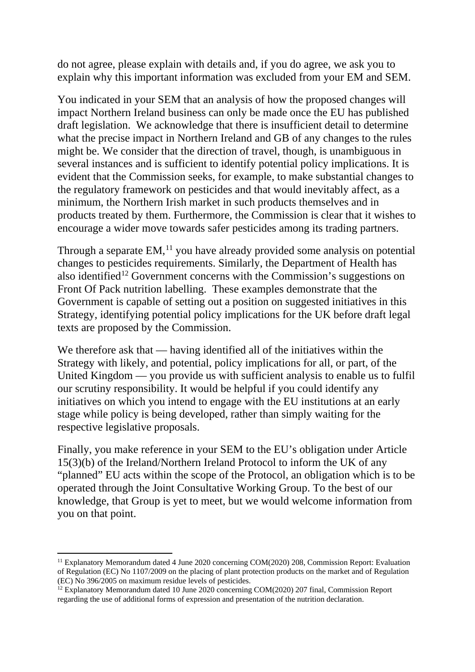do not agree, please explain with details and, if you do agree, we ask you to explain why this important information was excluded from your EM and SEM.

You indicated in your SEM that an analysis of how the proposed changes will impact Northern Ireland business can only be made once the EU has published draft legislation. We acknowledge that there is insufficient detail to determine what the precise impact in Northern Ireland and GB of any changes to the rules might be. We consider that the direction of travel, though, is unambiguous in several instances and is sufficient to identify potential policy implications. It is evident that the Commission seeks, for example, to make substantial changes to the regulatory framework on pesticides and that would inevitably affect, as a minimum, the Northern Irish market in such products themselves and in products treated by them. Furthermore, the Commission is clear that it wishes to encourage a wider move towards safer pesticides among its trading partners.

Through a separate EM,<sup>[11](#page-2-0)</sup> you have already provided some analysis on potential changes to pesticides requirements. Similarly, the Department of Health has also identified<sup>[12](#page-2-1)</sup> Government concerns with the Commission's suggestions on Front Of Pack nutrition labelling. These examples demonstrate that the Government is capable of setting out a position on suggested initiatives in this Strategy, identifying potential policy implications for the UK before draft legal texts are proposed by the Commission.

We therefore ask that — having identified all of the initiatives within the Strategy with likely, and potential, policy implications for all, or part, of the United Kingdom — you provide us with sufficient analysis to enable us to fulfil our scrutiny responsibility. It would be helpful if you could identify any initiatives on which you intend to engage with the EU institutions at an early stage while policy is being developed, rather than simply waiting for the respective legislative proposals.

Finally, you make reference in your SEM to the EU's obligation under Article 15(3)(b) of the Ireland/Northern Ireland Protocol to inform the UK of any "planned" EU acts within the scope of the Protocol, an obligation which is to be operated through the Joint Consultative Working Group. To the best of our knowledge, that Group is yet to meet, but we would welcome information from you on that point.

<span id="page-2-0"></span><sup>&</sup>lt;sup>11</sup> Explanatory Memorandum dated 4 June 2020 concerning COM(2020) 208, Commission Report: Evaluation of Regulation (EC) No 1107/2009 on the placing of plant protection products on the market and of Regulation (EC) No 396/2005 on maximum residue levels of pesticides.

<span id="page-2-1"></span><sup>&</sup>lt;sup>12</sup> Explanatory Memorandum dated 10 June 2020 concerning COM(2020) 207 final, Commission Report regarding the use of additional forms of expression and presentation of the nutrition declaration.